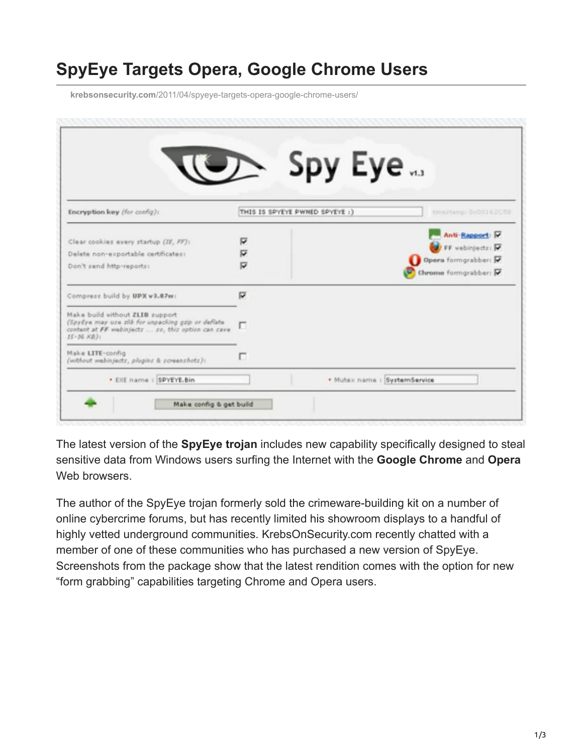## **SpyEye Targets Opera, Google Chrome Users**

**krebsonsecurity.com**[/2011/04/spyeye-targets-opera-google-chrome-users/](https://krebsonsecurity.com/2011/04/spyeye-targets-opera-google-chrome-users/)

|                                                                                                                              |   | 、Spy Eye                       |                       |
|------------------------------------------------------------------------------------------------------------------------------|---|--------------------------------|-----------------------|
|                                                                                                                              |   |                                |                       |
| Encryption key (for config):                                                                                                 |   | THIS IS SPYEYE PWNED SPYEYE :) | timestamp: 0x00162C59 |
| Clear cookies every startup (IE, FF):                                                                                        | ₽ |                                | Anti-Rapport: M       |
| Delete non-exportable certificates:                                                                                          | ∇ | FF vebinjects: P               |                       |
| Don't send http-reports:                                                                                                     | ⊽ |                                | Opera formgrabber:    |
|                                                                                                                              |   | Chrome formgrabber:            |                       |
| Compress build by UPX v3.67w:                                                                                                | σ |                                |                       |
| Make build without ZLIB support                                                                                              |   |                                |                       |
| (Spylye may use zith for unpacking gzip or deflate<br>conbent at FF webinjects  so, this option can save<br>$15 - 16$ $K8$ ) |   |                                |                       |
| Make LITE-config<br>(without wabinjacts, plugins & screenshots):                                                             | п |                                |                       |
| · EXE name : SPYEYE.Bin                                                                                                      |   | · Mutex name : SystemService   |                       |
| Make config & get build                                                                                                      |   |                                |                       |

The latest version of the **SpyEye trojan** includes new capability specifically designed to steal sensitive data from Windows users surfing the Internet with the **Google Chrome** and **Opera** Web browsers.

The author of the SpyEye trojan formerly sold the crimeware-building kit on a number of online cybercrime forums, but has recently limited his showroom displays to a handful of highly vetted underground communities. KrebsOnSecurity.com recently chatted with a member of one of these communities who has purchased a new version of SpyEye. Screenshots from the package show that the latest rendition comes with the option for new "form grabbing" capabilities targeting Chrome and Opera users.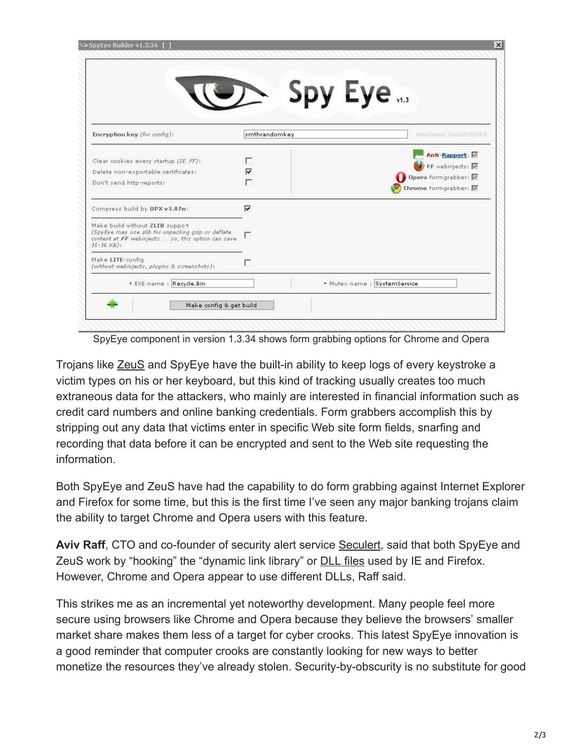|                                                                                                                               | $\sum$ Spy Eye |                              |
|-------------------------------------------------------------------------------------------------------------------------------|----------------|------------------------------|
|                                                                                                                               |                |                              |
| Encryption key (for config):                                                                                                  | smthrandomkey  | timestamp: 0x066CD9B3        |
| Clear cookies every startup (IE, FF):                                                                                         | г              | Anti-Rapport:                |
| Delete non-exportable certificates:                                                                                           | ⊽              | <b>D</b> FF webinjects:      |
| Don't send http-reports:                                                                                                      |                | Opera formgrabber:           |
|                                                                                                                               |                | Chrome formgrabber: $\nabla$ |
| Compress build by UPX v3.07w:                                                                                                 | ⊽              |                              |
| Make build without ZLIB suppot                                                                                                |                |                              |
| (SpyEye may use zlib for unpacking gzip or deflate<br>content at FF webinjects  so, this option can save<br>$15 - 16$ $KB$ ): | г              |                              |
| Make LITE-config.<br>(without webinjects, plugins & screenshots):                                                             | г              |                              |
| * EXE name : Recycle.Bin                                                                                                      |                | . Mutex name : SystemService |
| Make config & get build                                                                                                       |                |                              |
|                                                                                                                               |                |                              |

SpyEye component in version 1.3.34 shows form grabbing options for Chrome and Opera

Trojans like [ZeuS](http://krebsonsecurity.com/?s=zeus&x=0&y=0) and SpyEye have the built-in ability to keep logs of every keystroke a victim types on his or her keyboard, but this kind of tracking usually creates too much extraneous data for the attackers, who mainly are interested in financial information such as credit card numbers and online banking credentials. Form grabbers accomplish this by stripping out any data that victims enter in specific Web site form fields, snarfing and recording that data before it can be encrypted and sent to the Web site requesting the information.

Both SpyEye and ZeuS have had the capability to do form grabbing against Internet Explorer and Firefox for some time, but this is the first time I've seen any major banking trojans claim the ability to target Chrome and Opera users with this feature.

Aviv Raff, CTO and co-founder of security alert service [Seculert,](http://www.seculert.com/) said that both SpyEye and ZeuS work by "hooking" the "dynamic link library" or **[DLL files](http://www.easydesksoftware.com/dll.htm) used by IE and Firefox.** However, Chrome and Opera appear to use different DLLs, Raff said.

This strikes me as an incremental yet noteworthy development. Many people feel more secure using browsers like Chrome and Opera because they believe the browsers' smaller market share makes them less of a target for cyber crooks. This latest SpyEye innovation is a good reminder that computer crooks are constantly looking for new ways to better monetize the resources they've already stolen. Security-by-obscurity is no substitute for good